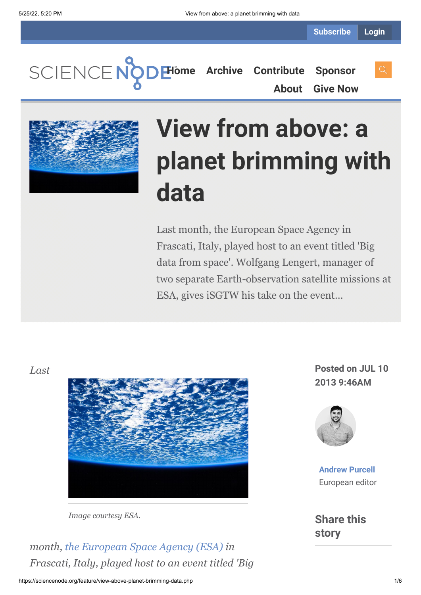**[Home](https://sciencenode.org/) [Archive](https://sciencenode.org/archive/index.php) [Contribute](https://sciencenode.org/contribute/index.php) [Sponsor](https://sciencenode.org/sponsor/index.php) [About](https://sciencenode.org/about/index.php) [Give Now](https://sciencenode.org/donate/index.php)**



# **View from above: a planet brimming with data**

Last month, the European Space Agency in Frascati, Italy, played host to an event titled 'Big data from space'. Wolfgang Lengert, manager of two separate Earth-observation satellite missions at ESA, gives iSGTW his take on the event…

*Last*



*Image courtesy ESA.*

*month, [the European Space Agency \(ESA\)](http://www.esa.int/ESA) in Frascati, Italy, played host to an event titled 'Big*

**Posted on JUL 10 2013 9:46AM**



**[Andrew Purcell](https://sciencenode.org/author/andrew-purcell.php)** European editor

**Share this story**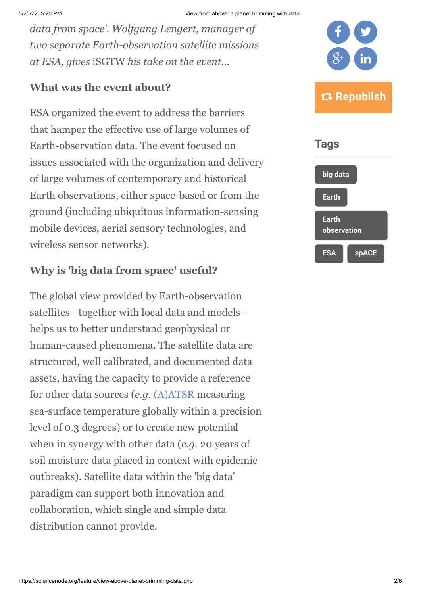*data from space'. Wolfgang Lengert, manager of two separate Earth-observation satellite missions at ESA, gives* iSGTW *his take on the event…*

### **What was the event about?**

ESA organized the event to address the barriers that hamper the effective use of large volumes of Earth-observation data. The event focused on issues associated with the organization and delivery of large volumes of contemporary and historical Earth observations, either space-based or from the ground (including ubiquitous information-sensing mobile devices, aerial sensory technologies, and wireless sensor networks).

## **Why is 'big data from space' useful?**

The global view provided by Earth-observation satellites - together with local data and models helps us to better understand geophysical or human-caused phenomena. The satellite data are structured, well calibrated, and documented data assets, having the capacity to provide a reference for other data sources (*e.g.* [\(A\)ATSR](http://atsrsensors.org/aboutATSR.htm) measuring sea-surface temperature globally within a precision level of 0.3 degrees) or to create new potential when in synergy with other data (*e.g.* 20 years of soil moisture data placed in context with epidemic outbreaks). Satellite data within the 'big data' paradigm can support both innovation and collaboration, which single and simple data distribution cannot provide.

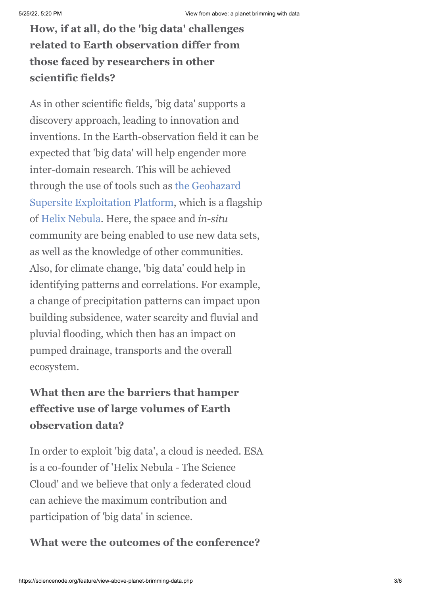**How, if at all, do the 'big data' challenges related to Earth observation differ from those faced by researchers in other scientific fields?**

As in other scientific fields, 'big data' supports a discovery approach, leading to innovation and inventions. In the Earth-observation field it can be expected that 'big data' will help engender more inter-domain research. This will be achieved [through the use of tools such as the Geohazard](http://www.helix-nebula.eu/index.php/helix-nebula-use-cases/uc3.html) Supersite Exploitation Platform, which is a flagship of [Helix Nebula](http://www.helix-nebula.eu/). Here, the space and *in-situ* community are being enabled to use new data sets, as well as the knowledge of other communities. Also, for climate change, 'big data' could help in identifying patterns and correlations. For example, a change of precipitation patterns can impact upon building subsidence, water scarcity and fluvial and pluvial flooding, which then has an impact on pumped drainage, transports and the overall ecosystem.

## **What then are the barriers that hamper effective use of large volumes of Earth observation data?**

In order to exploit 'big data', a cloud is needed. ESA is a co-founder of 'Helix Nebula - The Science Cloud' and we believe that only a federated cloud can achieve the maximum contribution and participation of 'big data' in science.

## **What were the outcomes of the conference?**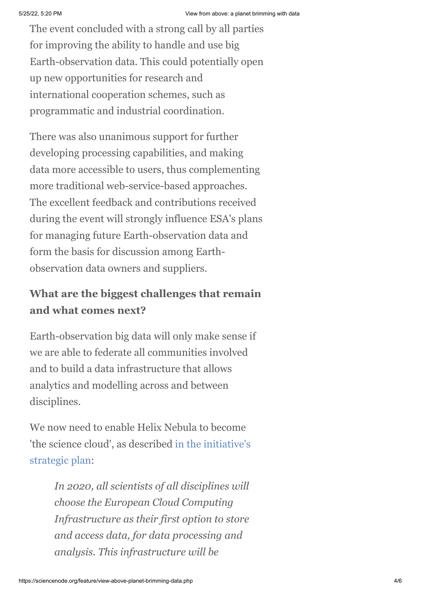The event concluded with a strong call by all parties for improving the ability to handle and use big Earth-observation data. This could potentially open up new opportunities for research and international cooperation schemes, such as programmatic and industrial coordination.

There was also unanimous support for further developing processing capabilities, and making data more accessible to users, thus complementing more traditional web-service-based approaches. The excellent feedback and contributions received during the event will strongly influence ESA's plans for managing future Earth-observation data and form the basis for discussion among Earthobservation data owners and suppliers.

# **What are the biggest challenges that remain and what comes next?**

Earth-observation big data will only make sense if we are able to federate all communities involved and to build a data infrastructure that allows analytics and modelling across and between disciplines.

We now need to enable Helix Nebula to become ['the science cloud', as described in the initiative's](http://www.helix-nebula.eu/index.php/uploads/file/81/11/CERN-OPEN-2011-036.pdf.html) strategic plan:

> *In 2020, all scientists of all disciplines will choose the European Cloud Computing Infrastructure as their first option to store and access data, for data processing and analysis. This infrastructure will be*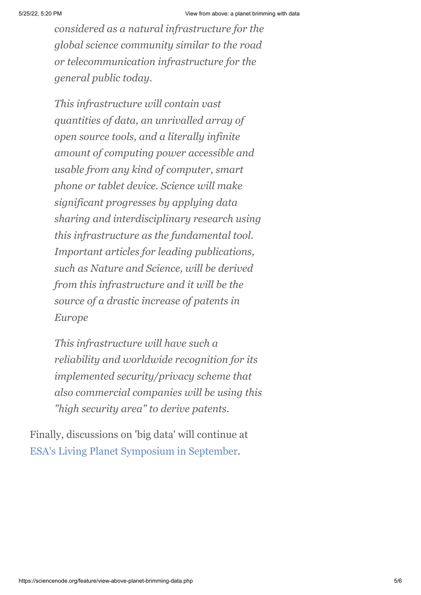*considered as a natural infrastructure for the global science community similar to the road or telecommunication infrastructure for the general public today.*

*This infrastructure will contain vast quantities of data, an unrivalled array of open source tools, and a literally infinite amount of computing power accessible and usable from any kind of computer, smart phone or tablet device. Science will make significant progresses by applying data sharing and interdisciplinary research using this infrastructure as the fundamental tool. Important articles for leading publications, such as Nature and Science, will be derived from this infrastructure and it will be the source of a drastic increase of patents in Europe*

*This infrastructure will have such a reliability and worldwide recognition for its implemented security/privacy scheme that also commercial companies will be using this "high security area" to derive patents.*

Finally, discussions on 'big data' will continue at [ESA's Living Planet Symposium in September.](http://www.livingplanet2013.org/index.asp)